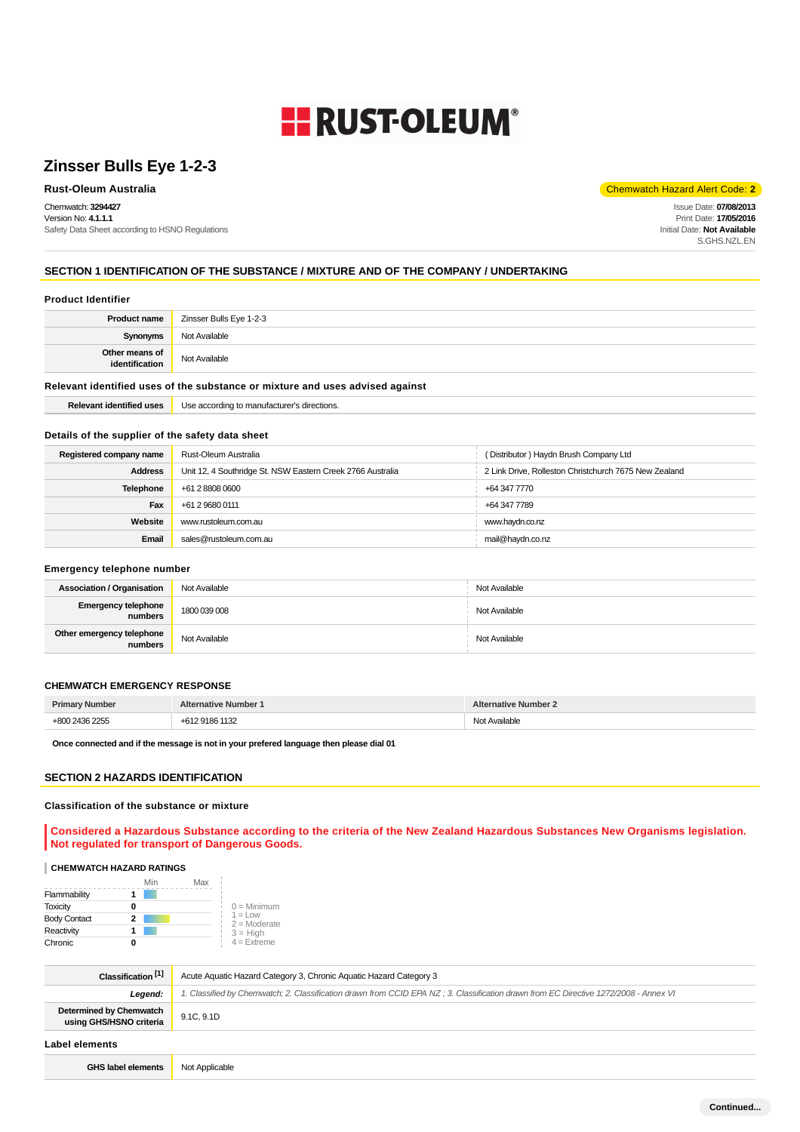# **ERUST-OLEUM®**

## **Zinsser Bulls Eye 1-2-3**

Chemwatch: **3294427** Version No: **4.1.1.1** Safety Data Sheet according to HSNO Regulations

**Rust-Oleum Australia** Chemwatch Hazard Alert Code: **2** 

Issue Date: **07/08/2013** Print Date: **17/05/2016** Initial Date: **Not Available** S.GHS.NZL.EN

## **SECTION 1 IDENTIFICATION OF THE SUBSTANCE / MIXTURE AND OF THE COMPANY / UNDERTAKING**

#### **Product Identifier**

| <b>Product name</b>                                                           | Zinsser Bulls Eye 1-2-3 |
|-------------------------------------------------------------------------------|-------------------------|
| Synonyms                                                                      | Not Available           |
| Other means of<br>identification                                              | Not Available           |
| Relevant identified uses of the substance or mixture and uses advised against |                         |

**Relevant identified uses** Use according to manufacturer's directions.

## **Details of the supplier of the safety data sheet**

| Registered company name | Rust-Oleum Australia                                       | (Distributor) Haydn Brush Company Ltd                 |
|-------------------------|------------------------------------------------------------|-------------------------------------------------------|
| <b>Address</b>          | Unit 12, 4 Southridge St. NSW Eastern Creek 2766 Australia | 2 Link Drive, Rolleston Christchurch 7675 New Zealand |
| <b>Telephone</b>        | +61 2 8808 0600                                            | +64 347 7770                                          |
| Fax                     | +61 2 9680 0111                                            | +64 347 7789                                          |
| Website                 | www.rustoleum.com.au                                       | www.haydn.co.nz                                       |
| Email                   | sales@rustoleum.com.au                                     | mail@haydn.co.nz                                      |

#### **Emergency telephone number**

| <b>Association / Organisation</b>    | Not Available | Not Available |
|--------------------------------------|---------------|---------------|
| Emergency telephone<br>numbers       | 1800 039 008  | Not Available |
| Other emergency telephone<br>numbers | Not Available | Not Available |

#### **CHEMWATCH EMERGENCY RESPONSE**

| <b>Primary Number</b> | Alternative Number 1           | <b>Alternative Number 2</b> |
|-----------------------|--------------------------------|-----------------------------|
| 2436 2255             | 9186 1132<br>$+617$<br>$+0125$ | t Available<br>N∩           |

**Once connected and if the message is not in your prefered language then please dial 01**

## **SECTION 2 HAZARDS IDENTIFICATION**

#### **Classification of the substance or mixture**

**Considered a Hazardous Substance according to the criteria of the New Zealand Hazardous Substances New Organisms legislation. Not regulated for transport of Dangerous Goods.**

#### **CHEMWATCH HAZARD RATINGS**

|                     | Min | Max |                                    |
|---------------------|-----|-----|------------------------------------|
| Flammability        |     |     |                                    |
| <b>Toxicity</b>     | o   |     | $0 =$ Minimum                      |
| <b>Body Contact</b> | 2   |     | $1 = 1$ $\Omega$<br>$2 =$ Moderate |
| Reactivity          |     |     | $3 = High$                         |
| Chronic             | 0   |     | $4 =$ Extreme                      |

| Classification <sup>[1]</sup>                             | Acute Aquatic Hazard Category 3, Chronic Aquatic Hazard Category 3                                                                   |
|-----------------------------------------------------------|--------------------------------------------------------------------------------------------------------------------------------------|
| Legend:                                                   | 1. Classified by Chemwatch; 2. Classification drawn from CCID EPA NZ; 3. Classification drawn from EC Directive 1272/2008 - Annex VI |
| <b>Determined by Chemwatch</b><br>using GHS/HSNO criteria | 9.1C, 9.1D                                                                                                                           |
| Label elements                                            |                                                                                                                                      |
| <b>GHS label elements</b>                                 | Not Applicable                                                                                                                       |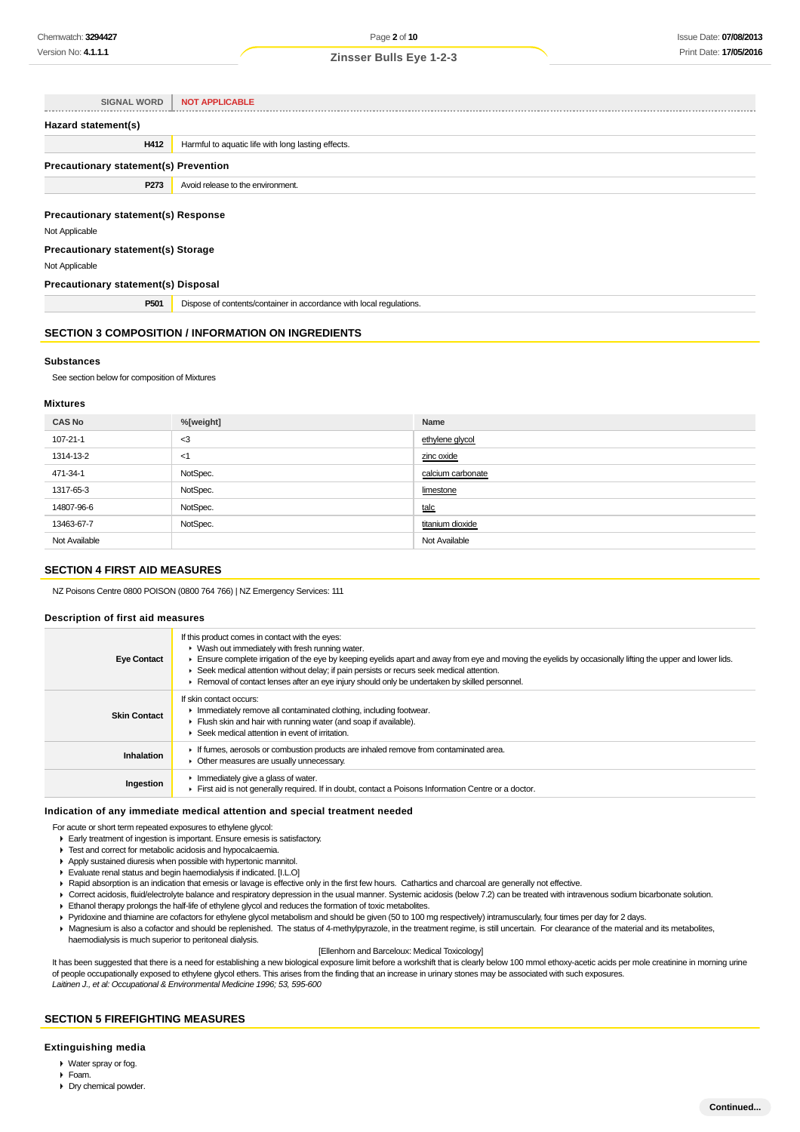| <b>SIGNAL WORD</b>                                           | <b>NOT APPLICABLE</b>                              |  |
|--------------------------------------------------------------|----------------------------------------------------|--|
| Hazard statement(s)                                          |                                                    |  |
| H412                                                         | Harmful to aquatic life with long lasting effects. |  |
| <b>Precautionary statement(s) Prevention</b>                 |                                                    |  |
| P273                                                         | Avoid release to the environment.                  |  |
| <b>Precautionary statement(s) Response</b><br>Not Applicable |                                                    |  |
| Precautionary statement(s) Storage                           |                                                    |  |

Not Applicable

## **Precautionary statement(s) Disposal**

**P501** Dispose of contents/container in accordance with local regulations.

## **SECTION 3 COMPOSITION / INFORMATION ON INGREDIENTS**

#### **Substances**

See section below for composition of Mixtures

## **Mixtures**

| <b>CAS No</b> | %[weight] | Name              |
|---------------|-----------|-------------------|
| 107-21-1      | $3$       | ethylene glycol   |
| 1314-13-2     | <1        | zinc oxide        |
| 471-34-1      | NotSpec.  | calcium carbonate |
| 1317-65-3     | NotSpec.  | limestone         |
| 14807-96-6    | NotSpec.  | talc              |
| 13463-67-7    | NotSpec.  | titanium dioxide  |
| Not Available |           | Not Available     |

#### **SECTION 4 FIRST AID MEASURES**

NZ Poisons Centre 0800 POISON (0800 764 766) | NZ Emergency Services: 111

#### **Description of first aid measures**

| <b>Eye Contact</b>  | If this product comes in contact with the eyes:<br>$\blacktriangleright$ Wash out immediately with fresh running water.<br>Ensure complete irrigation of the eye by keeping eyelids apart and away from eye and moving the eyelids by occasionally lifting the upper and lower lids.<br>► Seek medical attention without delay; if pain persists or recurs seek medical attention.<br>► Removal of contact lenses after an eye injury should only be undertaken by skilled personnel. |
|---------------------|---------------------------------------------------------------------------------------------------------------------------------------------------------------------------------------------------------------------------------------------------------------------------------------------------------------------------------------------------------------------------------------------------------------------------------------------------------------------------------------|
| <b>Skin Contact</b> | If skin contact occurs:<br>In mediately remove all contaminated clothing, including footwear.<br>Flush skin and hair with running water (and soap if available).<br>▶ Seek medical attention in event of irritation.                                                                                                                                                                                                                                                                  |
| Inhalation          | If fumes, aerosols or combustion products are inhaled remove from contaminated area.<br>• Other measures are usually unnecessary.                                                                                                                                                                                                                                                                                                                                                     |
| Ingestion           | $\blacktriangleright$ Immediately give a glass of water.<br>First aid is not generally required. If in doubt, contact a Poisons Information Centre or a doctor.                                                                                                                                                                                                                                                                                                                       |

#### **Indication of any immediate medical attention and special treatment needed**

For acute or short term repeated exposures to ethylene glycol:

▶ Early treatment of ingestion is important. Ensure emesis is satisfactory.

- Test and correct for metabolic acidosis and hypocalcaemia.
- Apply sustained diuresis when possible with hypertonic mannitol.
- Evaluate renal status and begin haemodialysis if indicated. [I.L.O]
- ▶ Rapid absorption is an indication that emesis or lavage is effective only in the first few hours. Cathartics and charcoal are generally not effective.
- Correct acidosis, fluid/electrolyte balance and respiratory depression in the usual manner. Systemic acidosis (below 7.2) can be treated with intravenous sodium bicarbonate solution.
- Ethanol therapy prolongs the half-life of ethylene glycol and reduces the formation of toxic metabolites.
- Pyridoxine and thiamine are cofactors for ethylene glycol metabolism and should be given (50 to 100 mg respectively) intramuscularly, four times per day for 2 days.
- Magnesium is also a cofactor and should be replenished. The status of 4-methylpyrazole, in the treatment regime, is still uncertain. For clearance of the material and its metabolites,

haemodialysis is much superior to peritoneal dialysis.

#### [Ellenhorn and Barceloux: Medical Toxicology]

It has been suggested that there is a need for establishing a new biological exposure limit before a workshift that is clearly below 100 mmol ethoxy-acetic acids per mole creatinine in morning urine of people occupationally exposed to ethylene glycol ethers. This arises from the finding that an increase in urinary stones may be associated with such exposures. Laitinen J., et al: Occupational & Environmental Medicine 1996; 53, 595-600

#### **SECTION 5 FIREFIGHTING MEASURES**

#### **Extinguishing media**

- Water spray or fog.
- Foam.
- Dry chemical powder.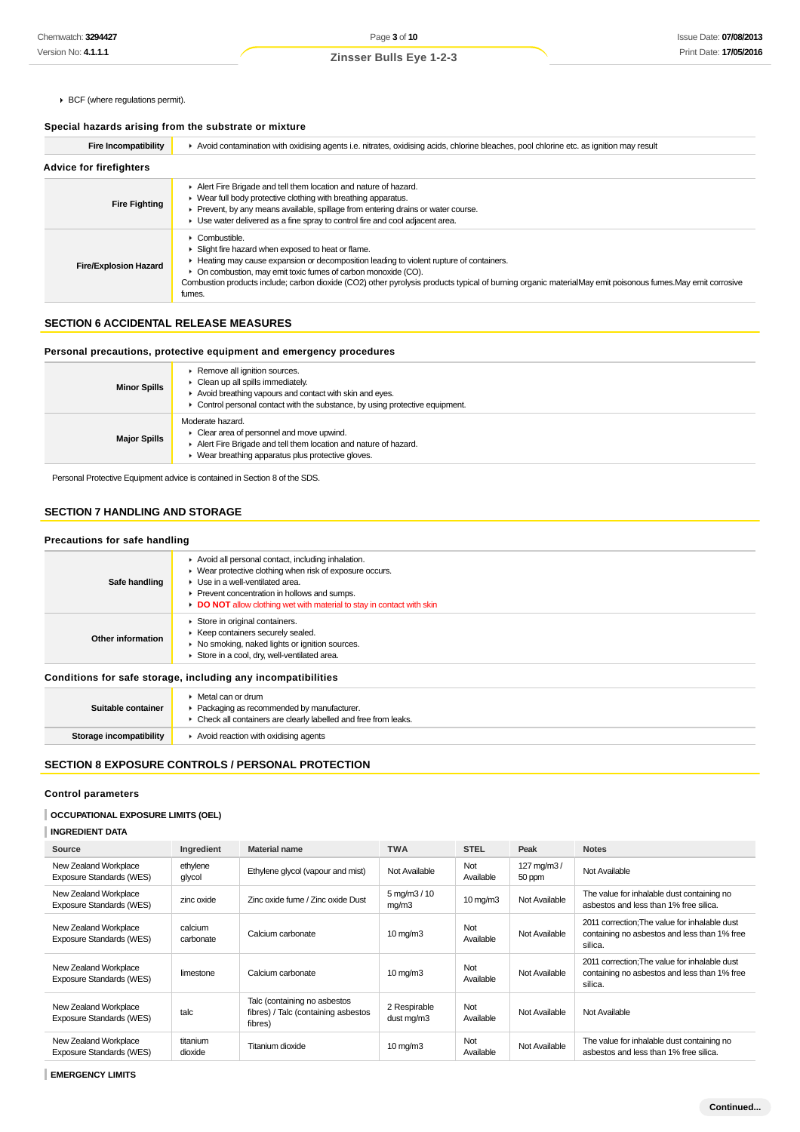BCF (where regulations permit).

## **Special hazards arising from the substrate or mixture**

| <b>Fire Incompatibility</b>    | ▶ Avoid contamination with oxidising agents i.e. nitrates, oxidising acids, chlorine bleaches, pool chlorine etc. as ignition may result                                                                                                                                                                                                                                                              |  |
|--------------------------------|-------------------------------------------------------------------------------------------------------------------------------------------------------------------------------------------------------------------------------------------------------------------------------------------------------------------------------------------------------------------------------------------------------|--|
| <b>Advice for firefighters</b> |                                                                                                                                                                                                                                                                                                                                                                                                       |  |
| <b>Fire Fighting</b>           | Alert Fire Brigade and tell them location and nature of hazard.<br>▶ Wear full body protective clothing with breathing apparatus.<br>Prevent, by any means available, spillage from entering drains or water course.<br>Use water delivered as a fine spray to control fire and cool adjacent area.                                                                                                   |  |
| <b>Fire/Explosion Hazard</b>   | Combustible.<br>Slight fire hazard when exposed to heat or flame.<br>Heating may cause expansion or decomposition leading to violent rupture of containers.<br>• On combustion, may emit toxic fumes of carbon monoxide (CO).<br>Combustion products include; carbon dioxide (CO2) other pyrolysis products typical of burning organic materialMay emit poisonous fumes. May emit corrosive<br>fumes. |  |

## **SECTION 6 ACCIDENTAL RELEASE MEASURES**

## **Personal precautions, protective equipment and emergency procedures**

| <b>Minor Spills</b> | Remove all ignition sources.<br>$\triangleright$ Clean up all spills immediately.<br>Avoid breathing vapours and contact with skin and eyes.<br>$\triangleright$ Control personal contact with the substance, by using protective equipment. |
|---------------------|----------------------------------------------------------------------------------------------------------------------------------------------------------------------------------------------------------------------------------------------|
| <b>Major Spills</b> | Moderate hazard.<br>$\triangleright$ Clear area of personnel and move upwind.<br>Alert Fire Brigade and tell them location and nature of hazard.<br>▶ Wear breathing apparatus plus protective gloves.                                       |

Personal Protective Equipment advice is contained in Section 8 of the SDS.

## **SECTION 7 HANDLING AND STORAGE**

## **Precautions for safe handling**

| Safe handling                                                | Avoid all personal contact, including inhalation.<br>▶ Wear protective clothing when risk of exposure occurs.<br>▶ Use in a well-ventilated area.<br>▶ Prevent concentration in hollows and sumps.<br>DO NOT allow clothing wet with material to stay in contact with skin |
|--------------------------------------------------------------|----------------------------------------------------------------------------------------------------------------------------------------------------------------------------------------------------------------------------------------------------------------------------|
| Other information                                            | Store in original containers.<br>▶ Keep containers securely sealed.<br>▶ No smoking, naked lights or ignition sources.<br>Store in a cool, dry, well-ventilated area.                                                                                                      |
| Conditions for safe storage, including any incompatibilities |                                                                                                                                                                                                                                                                            |
| Suitable container                                           | • Metal can or drum<br>• Packaging as recommended by manufacturer.                                                                                                                                                                                                         |

## **SECTION 8 EXPOSURE CONTROLS / PERSONAL PROTECTION**

**Storage incompatibility F** Avoid reaction with oxidising agents

Check all containers are clearly labelled and free from leaks.

## **Control parameters**

## **OCCUPATIONAL EXPOSURE LIMITS (OEL)**

| <b>INGREDIENT DATA</b> |  |
|------------------------|--|
|                        |  |

| Source                                                   | Ingredient           | <b>Material name</b>                                                           | <b>TWA</b>                            | <b>STEL</b>       | Peak                 | <b>Notes</b>                                                                                             |
|----------------------------------------------------------|----------------------|--------------------------------------------------------------------------------|---------------------------------------|-------------------|----------------------|----------------------------------------------------------------------------------------------------------|
| New Zealand Workplace<br>Exposure Standards (WES)        | ethylene<br>glycol   | Ethylene glycol (vapour and mist)                                              | Not Available                         | Not<br>Available  | 127 mg/m3/<br>50 ppm | Not Available                                                                                            |
| New Zealand Workplace<br>Exposure Standards (WES)        | zinc oxide           | Zinc oxide fume / Zinc oxide Dust                                              | $5 \,\mathrm{mg/m}$ $3 / 10$<br>mg/m3 | $10 \text{ mg/m}$ | Not Available        | The value for inhalable dust containing no<br>asbestos and less than 1% free silica.                     |
| New Zealand Workplace<br>Exposure Standards (WES)        | calcium<br>carbonate | Calcium carbonate                                                              | $10 \text{ mg/m}$                     | Not<br>Available  | Not Available        | 2011 correction: The value for inhalable dust<br>containing no asbestos and less than 1% free<br>silica. |
| New Zealand Workplace<br>Exposure Standards (WES)        | limestone            | Calcium carbonate                                                              | $10 \text{ mg/m}$                     | Not<br>Available  | Not Available        | 2011 correction; The value for inhalable dust<br>containing no asbestos and less than 1% free<br>silica. |
| New Zealand Workplace<br>Exposure Standards (WES)        | talc                 | Talc (containing no asbestos<br>fibres) / Talc (containing asbestos<br>fibres) | 2 Respirable<br>dust mg/m3            | Not<br>Available  | Not Available        | Not Available                                                                                            |
| New Zealand Workplace<br><b>Exposure Standards (WES)</b> | titanium<br>dioxide  | Titanium dioxide                                                               | $10 \text{ mg/m}$                     | Not<br>Available  | Not Available        | The value for inhalable dust containing no<br>asbestos and less than 1% free silica.                     |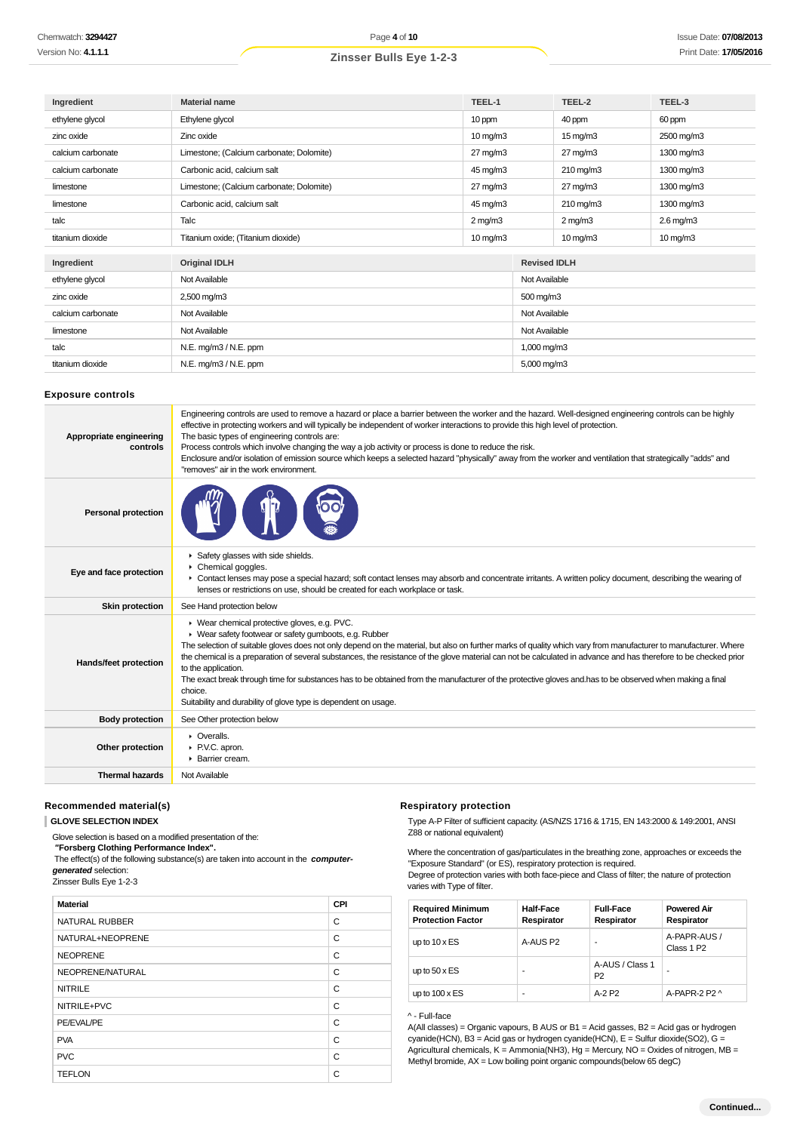| Ingredient        | TEEL-1<br><b>Material name</b>           |                     |                     | TEEL-2                | TEEL-3            |
|-------------------|------------------------------------------|---------------------|---------------------|-----------------------|-------------------|
| ethylene glycol   | Ethylene glycol                          | 10 ppm              |                     | 40 ppm                | 60 ppm            |
| zinc oxide        | Zinc oxide                               | $10 \text{ mg/m}$   |                     | $15 \text{ mg/m}$     | 2500 mg/m3        |
| calcium carbonate | Limestone; (Calcium carbonate; Dolomite) | $27 \text{ mg/m}$ 3 |                     | $27 \text{ mg/m}$ 3   | 1300 mg/m3        |
| calcium carbonate | Carbonic acid, calcium salt              | 45 mg/m3            |                     | $210 \,\mathrm{mg/m}$ | 1300 mg/m3        |
| limestone         | Limestone; (Calcium carbonate; Dolomite) | $27 \text{ mg/m}$ 3 |                     | $27 \text{ mg/m}$ 3   | 1300 mg/m3        |
| limestone         | Carbonic acid, calcium salt              | 45 mg/m3            |                     | 210 mg/m3             | 1300 mg/m3        |
| talc              | Talc                                     | $2$ mg/m $3$        |                     | $2$ mg/m $3$          | $2.6$ mg/m $3$    |
| titanium dioxide  | Titanium oxide; (Titanium dioxide)       | $10 \text{ mg/m}$   |                     | $10 \text{ mg/m}$     | $10 \text{ mg/m}$ |
|                   |                                          |                     |                     |                       |                   |
| Ingredient        | <b>Original IDLH</b>                     |                     | <b>Revised IDLH</b> |                       |                   |
| ethylene glycol   | Not Available                            |                     | Not Available       |                       |                   |
| zinc oxide        | 2,500 mg/m3                              |                     | 500 mg/m3           |                       |                   |
| calcium carbonate | Not Available                            |                     | Not Available       |                       |                   |
| limestone         | Not Available                            |                     | Not Available       |                       |                   |
| talc              | N.E. mg/m3 / N.E. ppm                    |                     | 1,000 mg/m3         |                       |                   |
| titanium dioxide  | N.E. mg/m3 / N.E. ppm                    |                     | 5,000 mg/m3         |                       |                   |

#### **Exposure controls**

| Appropriate engineering<br>controls | Engineering controls are used to remove a hazard or place a barrier between the worker and the hazard. Well-designed engineering controls can be highly<br>effective in protecting workers and will typically be independent of worker interactions to provide this high level of protection.<br>The basic types of engineering controls are:<br>Process controls which involve changing the way a job activity or process is done to reduce the risk.<br>Enclosure and/or isolation of emission source which keeps a selected hazard "physically" away from the worker and ventilation that strategically "adds" and<br>"removes" air in the work environment.                                                |
|-------------------------------------|----------------------------------------------------------------------------------------------------------------------------------------------------------------------------------------------------------------------------------------------------------------------------------------------------------------------------------------------------------------------------------------------------------------------------------------------------------------------------------------------------------------------------------------------------------------------------------------------------------------------------------------------------------------------------------------------------------------|
| <b>Personal protection</b>          |                                                                                                                                                                                                                                                                                                                                                                                                                                                                                                                                                                                                                                                                                                                |
| Eye and face protection             | Safety glasses with side shields.<br>▶ Chemical goggles.<br>▶ Contact lenses may pose a special hazard; soft contact lenses may absorb and concentrate irritants. A written policy document, describing the wearing of<br>lenses or restrictions on use, should be created for each workplace or task.                                                                                                                                                                                                                                                                                                                                                                                                         |
| <b>Skin protection</b>              | See Hand protection below                                                                                                                                                                                                                                                                                                                                                                                                                                                                                                                                                                                                                                                                                      |
| Hands/feet protection               | ▶ Wear chemical protective gloves, e.g. PVC.<br>▶ Wear safety footwear or safety gumboots, e.g. Rubber<br>The selection of suitable gloves does not only depend on the material, but also on further marks of quality which vary from manufacturer to manufacturer. Where<br>the chemical is a preparation of several substances, the resistance of the glove material can not be calculated in advance and has therefore to be checked prior<br>to the application.<br>The exact break through time for substances has to be obtained from the manufacturer of the protective gloves and has to be observed when making a final<br>choice.<br>Suitability and durability of glove type is dependent on usage. |
| <b>Body protection</b>              | See Other protection below                                                                                                                                                                                                                                                                                                                                                                                                                                                                                                                                                                                                                                                                                     |
| Other protection                    | • Overalls.<br>▶ P.V.C. apron.<br>▶ Barrier cream.                                                                                                                                                                                                                                                                                                                                                                                                                                                                                                                                                                                                                                                             |
| <b>Thermal hazards</b>              | Not Available                                                                                                                                                                                                                                                                                                                                                                                                                                                                                                                                                                                                                                                                                                  |

#### **Recommended material(s)**

**GLOVE SELECTION INDEX**

Glove selection is based on a modified presentation of the:

 **"Forsberg Clothing Performance Index".**

 The effect(s) of the following substance(s) are taken into account in the **computergenerated** selection:

Zinsser Bulls Eye 1-2-3

| <b>Material</b>  | CPI |
|------------------|-----|
| NATURAL RUBBER   | C   |
| NATURAL+NEOPRENE | C   |
| <b>NEOPRENE</b>  | C   |
| NEOPRENE/NATURAL | C   |
| <b>NITRILE</b>   | C   |
| NITRILE+PVC      | C   |
| PE/EVAL/PE       | C   |
| <b>PVA</b>       | C   |
| <b>PVC</b>       | C   |
| <b>TEFLON</b>    | C   |

#### **Respiratory protection**

Type A-P Filter of sufficient capacity. (AS/NZS 1716 & 1715, EN 143:2000 & 149:2001, ANSI Z88 or national equivalent)

Where the concentration of gas/particulates in the breathing zone, approaches or exceeds the "Exposure Standard" (or ES), respiratory protection is required.

Degree of protection varies with both face-piece and Class of filter; the nature of protection varies with Type of filter.

| <b>Required Minimum</b><br><b>Protection Factor</b> | <b>Half-Face</b><br>Respirator | <b>Full-Face</b><br>Respirator | <b>Powered Air</b><br>Respirator       |
|-----------------------------------------------------|--------------------------------|--------------------------------|----------------------------------------|
| up to $10 \times ES$                                | A-AUS P2                       |                                | A-PAPR-AUS /<br>Class 1 P <sub>2</sub> |
| up to $50 \times ES$                                | ۰                              | A-AUS / Class 1<br>P2          | ۰                                      |
| up to $100 \times ES$                               | ۰                              | A-2 P2                         | A-PAPR-2 P2 ^                          |

#### ^ - Full-face

A(All classes) = Organic vapours, B AUS or B1 = Acid gasses, B2 = Acid gas or hydrogen cyanide(HCN), B3 = Acid gas or hydrogen cyanide(HCN),  $E = S$ ulfur dioxide(SO2), G = Agricultural chemicals, K = Ammonia(NH3), Hg = Mercury, NO = Oxides of nitrogen, MB = Methyl bromide, AX = Low boiling point organic compounds(below 65 degC)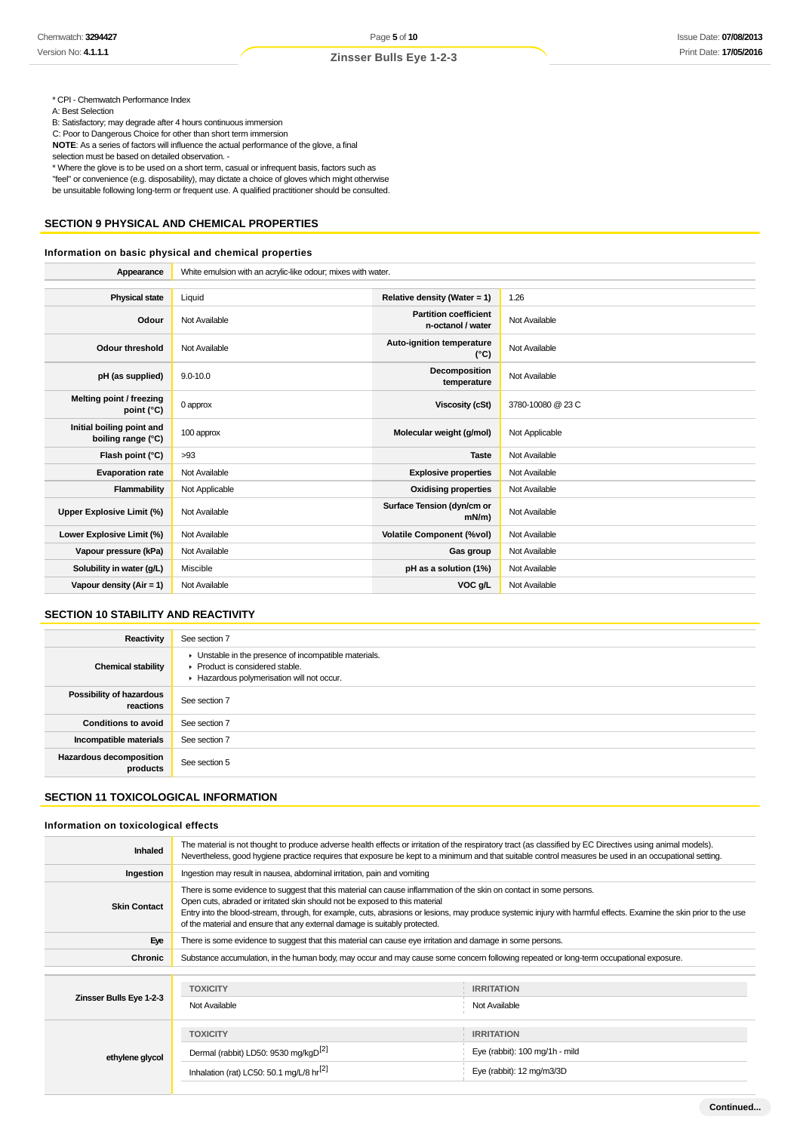\* CPI - Chemwatch Performance Index

A: Best Selection

B: Satisfactory; may degrade after 4 hours continuous immersion

C: Poor to Dangerous Choice for other than short term immersion

**NOTE**: As a series of factors will influence the actual performance of the glove, a final

selection must be based on detailed observation. -

\* Where the glove is to be used on a short term, casual or infrequent basis, factors such as "feel" or convenience (e.g. disposability), may dictate a choice of gloves which might otherwise

be unsuitable following long-term or frequent use. A qualified practitioner should be consulted.

## **SECTION 9 PHYSICAL AND CHEMICAL PROPERTIES**

## **Information on basic physical and chemical properties**

| Appearance                                      | White emulsion with an acrylic-like odour; mixes with water. |                                                   |                   |
|-------------------------------------------------|--------------------------------------------------------------|---------------------------------------------------|-------------------|
|                                                 |                                                              |                                                   |                   |
| <b>Physical state</b>                           | Liquid                                                       | Relative density (Water = $1$ )                   | 1.26              |
| Odour                                           | Not Available                                                | <b>Partition coefficient</b><br>n-octanol / water | Not Available     |
| <b>Odour threshold</b>                          | Not Available                                                | Auto-ignition temperature<br>$(^{\circ}C)$        | Not Available     |
| pH (as supplied)                                | $9.0 - 10.0$                                                 | Decomposition<br>temperature                      | Not Available     |
| Melting point / freezing<br>point (°C)          | 0 approx                                                     | <b>Viscosity (cSt)</b>                            | 3780-10080 @ 23 C |
| Initial boiling point and<br>boiling range (°C) | 100 approx                                                   | Molecular weight (g/mol)                          | Not Applicable    |
| Flash point (°C)                                | >93                                                          | <b>Taste</b>                                      | Not Available     |
| <b>Evaporation rate</b>                         | Not Available                                                | <b>Explosive properties</b>                       | Not Available     |
| Flammability                                    | Not Applicable                                               | <b>Oxidising properties</b>                       | Not Available     |
| <b>Upper Explosive Limit (%)</b>                | Not Available                                                | Surface Tension (dyn/cm or<br>$mN/m$ )            | Not Available     |
| Lower Explosive Limit (%)                       | Not Available                                                | <b>Volatile Component (%vol)</b>                  | Not Available     |
| Vapour pressure (kPa)                           | Not Available                                                | Gas group                                         | Not Available     |
| Solubility in water (g/L)                       | Miscible                                                     | pH as a solution (1%)                             | Not Available     |
| Vapour density $(Air = 1)$                      | Not Available                                                | VOC g/L                                           | Not Available     |

## **SECTION 10 STABILITY AND REACTIVITY**

| Reactivity                            | See section 7                                                                                                                        |
|---------------------------------------|--------------------------------------------------------------------------------------------------------------------------------------|
| <b>Chemical stability</b>             | • Unstable in the presence of incompatible materials.<br>▶ Product is considered stable.<br>Hazardous polymerisation will not occur. |
| Possibility of hazardous<br>reactions | See section 7                                                                                                                        |
| <b>Conditions to avoid</b>            | See section 7                                                                                                                        |
| Incompatible materials                | See section 7                                                                                                                        |
| Hazardous decomposition<br>products   | See section 5                                                                                                                        |

## **SECTION 11 TOXICOLOGICAL INFORMATION**

#### **Information on toxicological effects**

| Inhaled                                                                           | The material is not thought to produce adverse health effects or irritation of the respiratory tract (as classified by EC Directives using animal models).<br>Nevertheless, good hygiene practice requires that exposure be kept to a minimum and that suitable control measures be used in an occupational setting.                                                                                                                                   |                                |  |  |
|-----------------------------------------------------------------------------------|--------------------------------------------------------------------------------------------------------------------------------------------------------------------------------------------------------------------------------------------------------------------------------------------------------------------------------------------------------------------------------------------------------------------------------------------------------|--------------------------------|--|--|
| Ingestion                                                                         | Ingestion may result in nausea, abdominal irritation, pain and vomiting                                                                                                                                                                                                                                                                                                                                                                                |                                |  |  |
| <b>Skin Contact</b>                                                               | There is some evidence to suggest that this material can cause inflammation of the skin on contact in some persons.<br>Open cuts, abraded or irritated skin should not be exposed to this material<br>Entry into the blood-stream, through, for example, cuts, abrasions or lesions, may produce systemic injury with harmful effects. Examine the skin prior to the use<br>of the material and ensure that any external damage is suitably protected. |                                |  |  |
| Eye                                                                               | There is some evidence to suggest that this material can cause eye irritation and damage in some persons.                                                                                                                                                                                                                                                                                                                                              |                                |  |  |
| Chronic                                                                           | Substance accumulation, in the human body, may occur and may cause some concern following repeated or long-term occupational exposure.                                                                                                                                                                                                                                                                                                                 |                                |  |  |
|                                                                                   |                                                                                                                                                                                                                                                                                                                                                                                                                                                        |                                |  |  |
|                                                                                   | <b>TOXICITY</b>                                                                                                                                                                                                                                                                                                                                                                                                                                        | <b>IRRITATION</b>              |  |  |
| Zinsser Bulls Eye 1-2-3                                                           | Not Available                                                                                                                                                                                                                                                                                                                                                                                                                                          | Not Available                  |  |  |
|                                                                                   | <b>TOXICITY</b>                                                                                                                                                                                                                                                                                                                                                                                                                                        | <b>IRRITATION</b>              |  |  |
| ethylene glycol                                                                   | Dermal (rabbit) LD50: 9530 mg/kgD <sup>[2]</sup>                                                                                                                                                                                                                                                                                                                                                                                                       | Eye (rabbit): 100 mg/1h - mild |  |  |
| Inhalation (rat) LC50: 50.1 mg/L/8 hr <sup>[2]</sup><br>Eye (rabbit): 12 mg/m3/3D |                                                                                                                                                                                                                                                                                                                                                                                                                                                        |                                |  |  |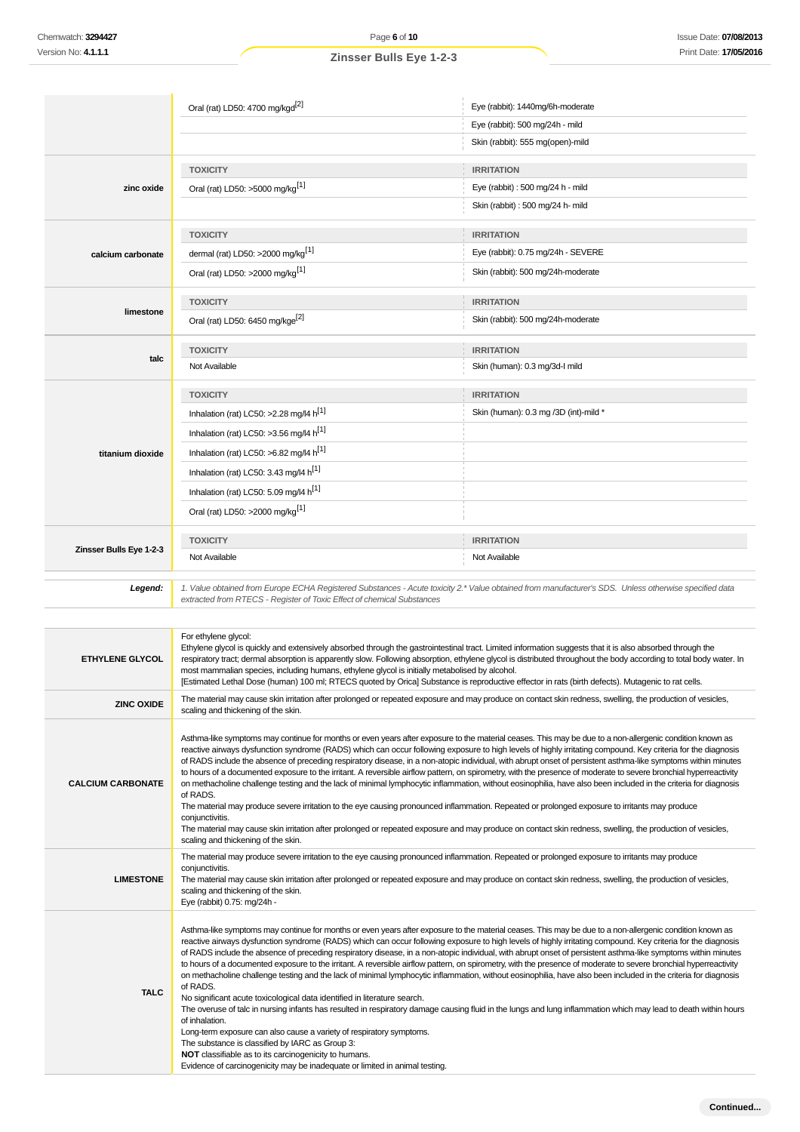Oral (rat) LD50: 4700 mg/kgd<sup>[2]</sup> eye (rabbit): 1440mg/6h-moderate

## Eye (rabbit): 500 mg/24h - mild Skin (rabbit): 555 mg(open)-mild **zinc oxide TOXICITY IRRITATION** Oral (rat) LD50: >5000 mg/kg<sup>[1]</sup>  $\qquad \qquad$  Eye (rabbit) : 500 mg/24 h - mild Skin (rabbit) : 500 mg/24 h- mild **calcium carbonate TOXICITY IRRITATION** dermal (rat) LD50: >2000 mg/kg<sup>[1]</sup> example the set of the set of the set of the set of the set of the set of the set of the set of the set of the set of the set of the set of the set of the set of the set of the set of th Oral (rat) LD50: >2000 mg/kg<sup>[1]</sup> Skin (rabbit): 500 mg/24h-moderate **limestone TOXICITY IRRITATION** Oral (rat) LD50: 6450 mg/kge<sup>[2]</sup> Cral (rat) Skin (rabbit): 500 mg/24h-moderate **talc TOXICITY IRRITATION** Not Available Skin (human): 0.3 mg/3d-I mild **titanium dioxide TOXICITY IRRITATION** Inhalation (rat) LC50: >2.28 mg/l4 h<sup>[1]</sup> Skin (human): 0.3 mg /3D (int)-mild \* Inhalation (rat) LC50:  $>3.56$  mg/l4 h<sup>[1]</sup> Inhalation (rat) LC50:  $>6.82$  mg/l4 h<sup>[1]</sup> Inhalation (rat) LC50: 3.43 mg/l4  $h^{[1]}$ Inhalation (rat) LC50: 5.09 mg/l4  $h^{[1]}$ Oral (rat) LD50: >2000 mg/kg[1] **Zinsser Bulls Eye 1-2-3 TOXICITY IRRITATION** Not Available Not Available Not Available Not Available Not Available Not Available **Legend:** 1. Value obtained from Europe ECHA Registered Substances - Acute toxicity 2.\* Value obtained from manufacturer's SDS. Unless otherwise specified data extracted from RTECS - Register of Toxic Effect of chemical Substances **ETHYLENE GLYCOL** For ethylene glycol: Ethylene glycol is quickly and extensively absorbed through the gastrointestinal tract. Limited information suggests that it is also absorbed through the respiratory tract; dermal absorption is apparently slow. Following absorption, ethylene glycol is distributed throughout the body according to total body water. In most mammalian species, including humans, ethylene glycol is initially metabolised by alcohol. [Estimated Lethal Dose (human) 100 ml; RTECS quoted by Orica] Substance is reproductive effector in rats (birth defects). Mutagenic to rat cells. **ZINC OXIDE** The material may cause skin irritation after prolonged or repeated exposure and may produce on contact skin redness, swelling, the production of vesicles, scaling and thickening of the skin. **CALCIUM CARBONATE** Asthma-like symptoms may continue for months or even years after exposure to the material ceases. This may be due to a non-allergenic condition known as reactive airways dysfunction syndrome (RADS) which can occur following exposure to high levels of highly irritating compound. Key criteria for the diagnosis of RADS include the absence of preceding respiratory disease, in a non-atopic individual, with abrupt onset of persistent asthma-like symptoms within minutes to hours of a documented exposure to the irritant. A reversible airflow pattern, on spirometry, with the presence of moderate to severe bronchial hyperreactivity on methacholine challenge testing and the lack of minimal lymphocytic inflammation, without eosinophilia, have also been included in the criteria for diagnosis of RADS. The material may produce severe irritation to the eye causing pronounced inflammation. Repeated or prolonged exposure to irritants may produce conjunctivitis. The material may cause skin irritation after prolonged or repeated exposure and may produce on contact skin redness, swelling, the production of vesicles, scaling and thickening of the skin. **LIMESTONE** The material may produce severe irritation to the eye causing pronounced inflammation. Repeated or prolonged exposure to irritants may produce conjunctivitis. The material may cause skin irritation after prolonged or repeated exposure and may produce on contact skin redness, swelling, the production of vesicles, scaling and thickening of the skin. Eye (rabbit) 0.75: mg/24h - **TALC** Asthma-like symptoms may continue for months or even years after exposure to the material ceases. This may be due to a non-allergenic condition known as reactive airways dysfunction syndrome (RADS) which can occur following exposure to high levels of highly irritating compound. Key criteria for the diagnosis of RADS include the absence of preceding respiratory disease, in a non-atopic individual, with abrupt onset of persistent asthma-like symptoms within minutes to hours of a documented exposure to the irritant. A reversible airflow pattern, on spirometry, with the presence of moderate to severe bronchial hyperreactivity on methacholine challenge testing and the lack of minimal lymphocytic inflammation, without eosinophilia, have also been included in the criteria for diagnosis of RADS. No significant acute toxicological data identified in literature search. The overuse of talc in nursing infants has resulted in respiratory damage causing fluid in the lungs and lung inflammation which may lead to death within hours of inhalation. Long-term exposure can also cause a variety of respiratory symptoms. The substance is classified by IARC as Group 3: **NOT** classifiable as to its carcinogenicity to humans. Evidence of carcinogenicity may be inadequate or limited in animal testing.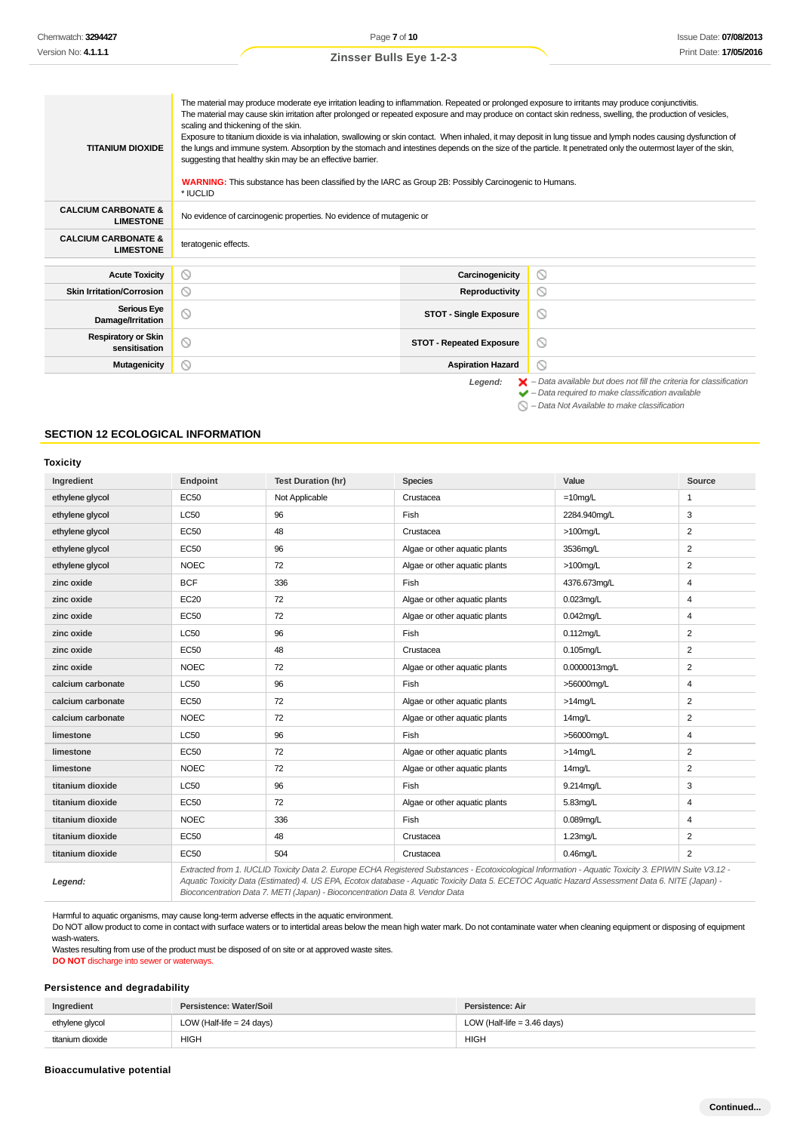| <b>TITANIUM DIOXIDE</b>                            | The material may produce moderate eye irritation leading to inflammation. Repeated or prolonged exposure to irritants may produce conjunctivitis.<br>The material may cause skin irritation after prolonged or repeated exposure and may produce on contact skin redness, swelling, the production of vesicles,<br>scaling and thickening of the skin.<br>Exposure to titanium dioxide is via inhalation, swallowing or skin contact. When inhaled, it may deposit in lung tissue and lymph nodes causing dysfunction of<br>the lungs and immune system. Absorption by the stomach and intestines depends on the size of the particle. It penetrated only the outermost layer of the skin,<br>suggesting that healthy skin may be an effective barrier.<br><b>WARNING:</b> This substance has been classified by the IARC as Group 2B: Possibly Carcinogenic to Humans.<br>* IUCLID |                                                                                                                                                                    |  |
|----------------------------------------------------|-------------------------------------------------------------------------------------------------------------------------------------------------------------------------------------------------------------------------------------------------------------------------------------------------------------------------------------------------------------------------------------------------------------------------------------------------------------------------------------------------------------------------------------------------------------------------------------------------------------------------------------------------------------------------------------------------------------------------------------------------------------------------------------------------------------------------------------------------------------------------------------|--------------------------------------------------------------------------------------------------------------------------------------------------------------------|--|
| <b>CALCIUM CARBONATE &amp;</b><br><b>LIMESTONE</b> | No evidence of carcinogenic properties. No evidence of mutagenic or                                                                                                                                                                                                                                                                                                                                                                                                                                                                                                                                                                                                                                                                                                                                                                                                                 |                                                                                                                                                                    |  |
| <b>CALCIUM CARBONATE &amp;</b><br><b>LIMESTONE</b> | teratogenic effects.                                                                                                                                                                                                                                                                                                                                                                                                                                                                                                                                                                                                                                                                                                                                                                                                                                                                |                                                                                                                                                                    |  |
|                                                    |                                                                                                                                                                                                                                                                                                                                                                                                                                                                                                                                                                                                                                                                                                                                                                                                                                                                                     |                                                                                                                                                                    |  |
| <b>Acute Toxicity</b>                              | $\circ$<br>Carcinogenicity                                                                                                                                                                                                                                                                                                                                                                                                                                                                                                                                                                                                                                                                                                                                                                                                                                                          | ⊙                                                                                                                                                                  |  |
| <b>Skin Irritation/Corrosion</b>                   | $\circ$<br>Reproductivity                                                                                                                                                                                                                                                                                                                                                                                                                                                                                                                                                                                                                                                                                                                                                                                                                                                           | 0                                                                                                                                                                  |  |
| <b>Serious Eye</b><br>Damage/Irritation            | $\circ$<br><b>STOT - Single Exposure</b>                                                                                                                                                                                                                                                                                                                                                                                                                                                                                                                                                                                                                                                                                                                                                                                                                                            | ∾                                                                                                                                                                  |  |
| <b>Respiratory or Skin</b><br>sensitisation        | $\circ$<br><b>STOT - Repeated Exposure</b>                                                                                                                                                                                                                                                                                                                                                                                                                                                                                                                                                                                                                                                                                                                                                                                                                                          | $\circ$                                                                                                                                                            |  |
| <b>Mutagenicity</b>                                | ◎<br><b>Aspiration Hazard</b>                                                                                                                                                                                                                                                                                                                                                                                                                                                                                                                                                                                                                                                                                                                                                                                                                                                       | $\circ$                                                                                                                                                            |  |
|                                                    | Legend:                                                                                                                                                                                                                                                                                                                                                                                                                                                                                                                                                                                                                                                                                                                                                                                                                                                                             | $\blacktriangleright$ - Data available but does not fill the criteria for classification<br>$\blacktriangleright$ - Data required to make classification available |  |

– Data Not Available to make classification

## **SECTION 12 ECOLOGICAL INFORMATION**

## **Toxicity**

| Ingredient        | Endpoint    | <b>Test Duration (hr)</b> | <b>Species</b>                                                                                                                                                                                                                                                                                           | Value         | Source         |
|-------------------|-------------|---------------------------|----------------------------------------------------------------------------------------------------------------------------------------------------------------------------------------------------------------------------------------------------------------------------------------------------------|---------------|----------------|
| ethylene glycol   | <b>EC50</b> | Not Applicable            | Crustacea                                                                                                                                                                                                                                                                                                | $=10$ mg/L    | 1              |
| ethylene glycol   | <b>LC50</b> | 96                        | Fish                                                                                                                                                                                                                                                                                                     | 2284.940mg/L  | 3              |
| ethylene glycol   | <b>EC50</b> | 48                        | Crustacea                                                                                                                                                                                                                                                                                                | $>100$ mg/L   | $\overline{2}$ |
| ethylene glycol   | EC50        | 96                        | Algae or other aquatic plants                                                                                                                                                                                                                                                                            | 3536mg/L      | $\overline{2}$ |
| ethylene glycol   | <b>NOEC</b> | 72                        | Algae or other aquatic plants                                                                                                                                                                                                                                                                            | $>100$ mg/L   | 2              |
| zinc oxide        | <b>BCF</b>  | 336                       | Fish                                                                                                                                                                                                                                                                                                     | 4376.673mg/L  | 4              |
| zinc oxide        | EC20        | 72                        | Algae or other aquatic plants                                                                                                                                                                                                                                                                            | $0.023$ mg/L  | 4              |
| zinc oxide        | <b>EC50</b> | 72                        | Algae or other aquatic plants                                                                                                                                                                                                                                                                            | $0.042$ mg/L  | 4              |
| zinc oxide        | LC50        | 96                        | Fish                                                                                                                                                                                                                                                                                                     | $0.112$ mg/L  | 2              |
| zinc oxide        | <b>EC50</b> | 48                        | Crustacea                                                                                                                                                                                                                                                                                                | $0.105$ mg/L  | $\overline{2}$ |
| zinc oxide        | <b>NOEC</b> | 72                        | Algae or other aquatic plants                                                                                                                                                                                                                                                                            | 0.0000013mg/L | 2              |
| calcium carbonate | <b>LC50</b> | 96                        | Fish                                                                                                                                                                                                                                                                                                     | >56000ma/L    | 4              |
| calcium carbonate | <b>EC50</b> | 72                        | Algae or other aquatic plants                                                                                                                                                                                                                                                                            | $>14$ mg/L    | 2              |
| calcium carbonate | <b>NOEC</b> | 72                        | Algae or other aquatic plants                                                                                                                                                                                                                                                                            | 14mg/L        | 2              |
| limestone         | <b>LC50</b> | 96                        | Fish                                                                                                                                                                                                                                                                                                     | >56000mg/L    | 4              |
| limestone         | <b>EC50</b> | 72                        | Algae or other aquatic plants                                                                                                                                                                                                                                                                            | $>14$ mg/L    | 2              |
| limestone         | <b>NOEC</b> | 72                        | Algae or other aquatic plants                                                                                                                                                                                                                                                                            | 14mg/L        | $\overline{c}$ |
| titanium dioxide  | <b>LC50</b> | 96                        | Fish                                                                                                                                                                                                                                                                                                     | 9.214mg/L     | 3              |
| titanium dioxide  | <b>EC50</b> | 72                        | Algae or other aquatic plants                                                                                                                                                                                                                                                                            | 5.83mg/L      | 4              |
| titanium dioxide  | <b>NOEC</b> | 336                       | Fish                                                                                                                                                                                                                                                                                                     | $0.089$ mg/L  | 4              |
| titanium dioxide  | <b>EC50</b> | 48                        | Crustacea                                                                                                                                                                                                                                                                                                | 1.23mg/L      | $\overline{2}$ |
| titanium dioxide  | <b>EC50</b> | 504                       | Crustacea                                                                                                                                                                                                                                                                                                | $0.46$ mg/L   | $\overline{2}$ |
| Legend:           |             |                           | Extracted from 1. IUCLID Toxicity Data 2. Europe ECHA Registered Substances - Ecotoxicological Information - Aquatic Toxicity 3. EPIWIN Suite V3.12 -<br>Aquatic Toxicity Data (Estimated) 4. US EPA, Ecotox database - Aquatic Toxicity Data 5. ECETOC Aquatic Hazard Assessment Data 6. NITE (Japan) - |               |                |

Aquatic Toxicity Data (Estimated) 4. US EPA, Ecotox database - Aquatic Toxicity Data 5. ECETOC Aquatic Hazard Assessment Data 6. NITE (Japan) - Bioconcentration Data 7. METI (Japan) - Bioconcentration Data 8. Vendor Data

Harmful to aquatic organisms, may cause long-term adverse effects in the aquatic environment.

Do NOT allow product to come in contact with surface waters or to intertidal areas below the mean high water mark. Do not contaminate water when cleaning equipment or disposing of equipment wash-waters.

Wastes resulting from use of the product must be disposed of on site or at approved waste sites.

**DO NOT** discharge into sewer or waterways.

## **Persistence and degradability**

| Ingredient       | Persistence: Water/Soil     | Persistence: Air              |
|------------------|-----------------------------|-------------------------------|
| ethylene glycol  | LOW (Half-life $= 24$ days) | LOW (Half-life = $3.46$ days) |
| titanium dioxide | HIGH                        | <b>HIGH</b>                   |

## **Bioaccumulative potential**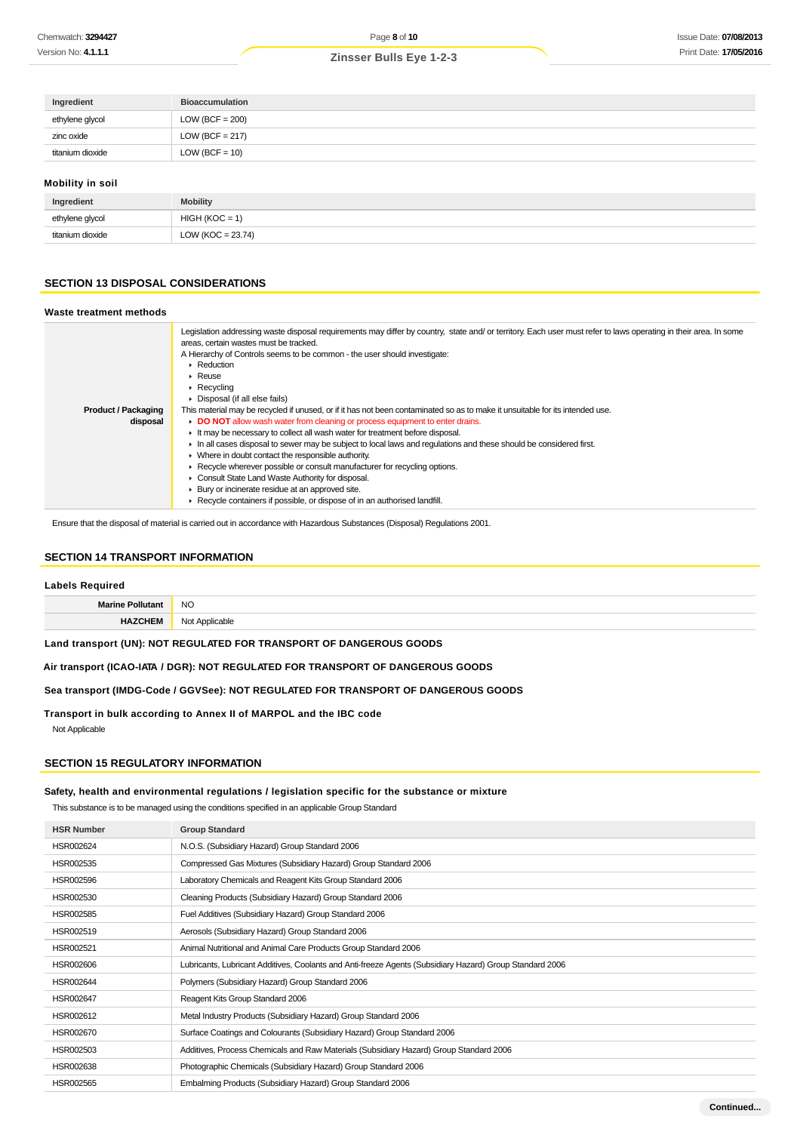| Ingredient       | <b>Bioaccumulation</b> |
|------------------|------------------------|
| ethylene glycol  | $LOW (BCF = 200)$      |
| zinc oxide       | $LOW (BCF = 217)$      |
| titanium dioxide | $LOW (BCF = 10)$       |
|                  |                        |

## **Mobility in soil**

| Ingredient       | <b>Mobility</b>      |
|------------------|----------------------|
| ethylene glycol  | $HIGH (KOC = 1)$     |
| titanium dioxide | LOW (KOC = $23.74$ ) |
|                  |                      |

## **SECTION 13 DISPOSAL CONSIDERATIONS**

#### **Waste treatment methods**

|                            | Legislation addressing waste disposal requirements may differ by country, state and/ or territory. Each user must refer to laws operating in their area. In some<br>areas, certain wastes must be tracked.<br>A Hierarchy of Controls seems to be common - the user should investigate:<br>$\triangleright$ Reduction<br>$\blacktriangleright$ Reuse<br>$\triangleright$ Recycling<br>• Disposal (if all else fails) |
|----------------------------|----------------------------------------------------------------------------------------------------------------------------------------------------------------------------------------------------------------------------------------------------------------------------------------------------------------------------------------------------------------------------------------------------------------------|
| <b>Product / Packaging</b> | This material may be recycled if unused, or if it has not been contaminated so as to make it unsuitable for its intended use.                                                                                                                                                                                                                                                                                        |
| disposal                   | DO NOT allow wash water from cleaning or process equipment to enter drains.                                                                                                                                                                                                                                                                                                                                          |
|                            | It may be necessary to collect all wash water for treatment before disposal.                                                                                                                                                                                                                                                                                                                                         |
|                            | In all cases disposal to sewer may be subject to local laws and regulations and these should be considered first.                                                                                                                                                                                                                                                                                                    |
|                            | • Where in doubt contact the responsible authority.                                                                                                                                                                                                                                                                                                                                                                  |
|                            | ► Recycle wherever possible or consult manufacturer for recycling options.                                                                                                                                                                                                                                                                                                                                           |
|                            | Consult State Land Waste Authority for disposal.                                                                                                                                                                                                                                                                                                                                                                     |
|                            | ▶ Bury or incinerate residue at an approved site.                                                                                                                                                                                                                                                                                                                                                                    |
|                            | ▶ Recycle containers if possible, or dispose of in an authorised landfill.                                                                                                                                                                                                                                                                                                                                           |

Ensure that the disposal of material is carried out in accordance with Hazardous Substances (Disposal) Regulations 2001.

## **SECTION 14 TRANSPORT INFORMATION**

## **Labels Required**

| __________       |                |
|------------------|----------------|
| Marino <b>Po</b> | <b>NO</b>      |
|                  | Not Applicable |

**Land transport (UN): NOT REGULATED FOR TRANSPORT OF DANGEROUS GOODS**

**Air transport (ICAO-IATA / DGR): NOT REGULATED FOR TRANSPORT OF DANGEROUS GOODS**

**Sea transport (IMDG-Code / GGVSee): NOT REGULATED FOR TRANSPORT OF DANGEROUS GOODS**

**Transport in bulk according to Annex II of MARPOL and the IBC code**

Not Applicable

## **SECTION 15 REGULATORY INFORMATION**

#### **Safety, health and environmental regulations / legislation specific for the substance or mixture**

This substance is to be managed using the conditions specified in an applicable Group Standard

| <b>HSR Number</b> | <b>Group Standard</b>                                                                                    |
|-------------------|----------------------------------------------------------------------------------------------------------|
| HSR002624         | N.O.S. (Subsidiary Hazard) Group Standard 2006                                                           |
| HSR002535         | Compressed Gas Mixtures (Subsidiary Hazard) Group Standard 2006                                          |
| HSR002596         | Laboratory Chemicals and Reagent Kits Group Standard 2006                                                |
| HSR002530         | Cleaning Products (Subsidiary Hazard) Group Standard 2006                                                |
| HSR002585         | Fuel Additives (Subsidiary Hazard) Group Standard 2006                                                   |
| HSR002519         | Aerosols (Subsidiary Hazard) Group Standard 2006                                                         |
| HSR002521         | Animal Nutritional and Animal Care Products Group Standard 2006                                          |
| HSR002606         | Lubricants, Lubricant Additives, Coolants and Anti-freeze Agents (Subsidiary Hazard) Group Standard 2006 |
| HSR002644         | Polymers (Subsidiary Hazard) Group Standard 2006                                                         |
| HSR002647         | Reagent Kits Group Standard 2006                                                                         |
| HSR002612         | Metal Industry Products (Subsidiary Hazard) Group Standard 2006                                          |
| HSR002670         | Surface Coatings and Colourants (Subsidiary Hazard) Group Standard 2006                                  |
| HSR002503         | Additives, Process Chemicals and Raw Materials (Subsidiary Hazard) Group Standard 2006                   |
| HSR002638         | Photographic Chemicals (Subsidiary Hazard) Group Standard 2006                                           |
| HSR002565         | Embalming Products (Subsidiary Hazard) Group Standard 2006                                               |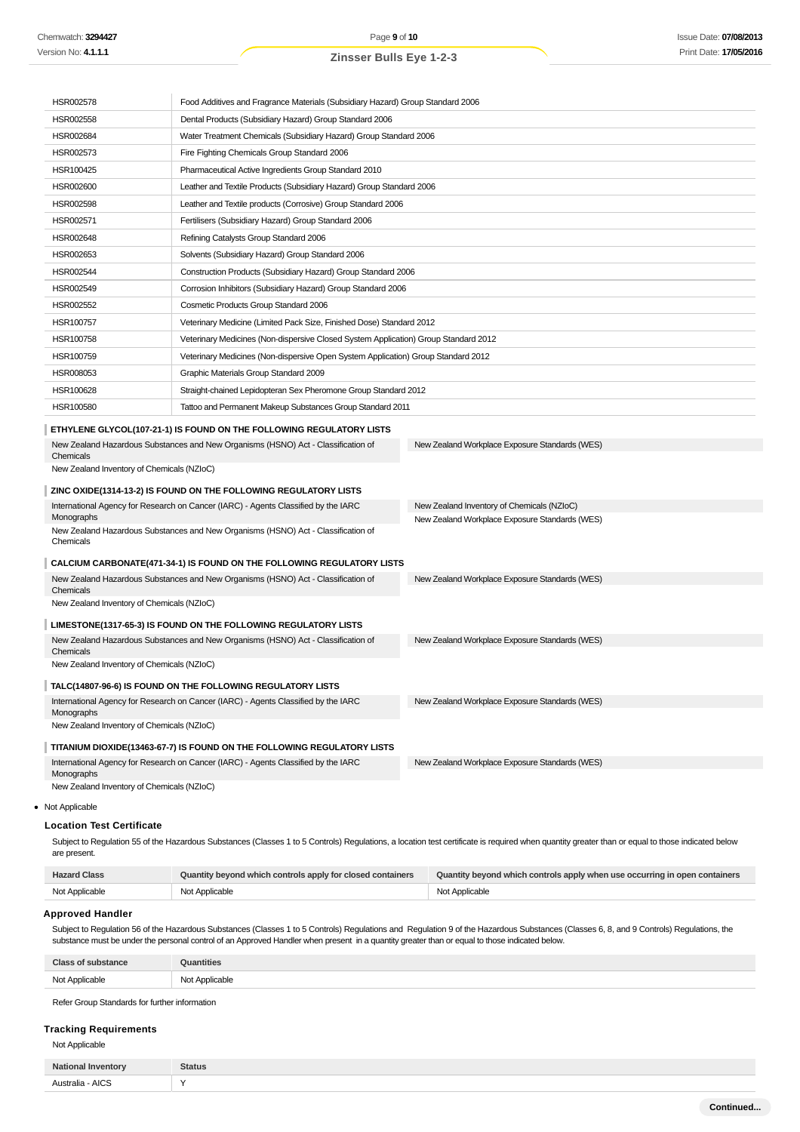| HSR002578                                                                                                                                                                                                                                                                                                                                                                                                                                                                                                                                                                                                                                                                                                                                                                                                                                                                                                                                                                                                                                                                                                                 | Food Additives and Fragrance Materials (Subsidiary Hazard) Group Standard 2006      |                                                                            |
|---------------------------------------------------------------------------------------------------------------------------------------------------------------------------------------------------------------------------------------------------------------------------------------------------------------------------------------------------------------------------------------------------------------------------------------------------------------------------------------------------------------------------------------------------------------------------------------------------------------------------------------------------------------------------------------------------------------------------------------------------------------------------------------------------------------------------------------------------------------------------------------------------------------------------------------------------------------------------------------------------------------------------------------------------------------------------------------------------------------------------|-------------------------------------------------------------------------------------|----------------------------------------------------------------------------|
| HSR002558                                                                                                                                                                                                                                                                                                                                                                                                                                                                                                                                                                                                                                                                                                                                                                                                                                                                                                                                                                                                                                                                                                                 | Dental Products (Subsidiary Hazard) Group Standard 2006                             |                                                                            |
| HSR002684                                                                                                                                                                                                                                                                                                                                                                                                                                                                                                                                                                                                                                                                                                                                                                                                                                                                                                                                                                                                                                                                                                                 | Water Treatment Chemicals (Subsidiary Hazard) Group Standard 2006                   |                                                                            |
| HSR002573                                                                                                                                                                                                                                                                                                                                                                                                                                                                                                                                                                                                                                                                                                                                                                                                                                                                                                                                                                                                                                                                                                                 | Fire Fighting Chemicals Group Standard 2006                                         |                                                                            |
| HSR100425                                                                                                                                                                                                                                                                                                                                                                                                                                                                                                                                                                                                                                                                                                                                                                                                                                                                                                                                                                                                                                                                                                                 | Pharmaceutical Active Ingredients Group Standard 2010                               |                                                                            |
| HSR002600                                                                                                                                                                                                                                                                                                                                                                                                                                                                                                                                                                                                                                                                                                                                                                                                                                                                                                                                                                                                                                                                                                                 | Leather and Textile Products (Subsidiary Hazard) Group Standard 2006                |                                                                            |
| HSR002598                                                                                                                                                                                                                                                                                                                                                                                                                                                                                                                                                                                                                                                                                                                                                                                                                                                                                                                                                                                                                                                                                                                 | Leather and Textile products (Corrosive) Group Standard 2006                        |                                                                            |
| HSR002571                                                                                                                                                                                                                                                                                                                                                                                                                                                                                                                                                                                                                                                                                                                                                                                                                                                                                                                                                                                                                                                                                                                 | Fertilisers (Subsidiary Hazard) Group Standard 2006                                 |                                                                            |
| HSR002648                                                                                                                                                                                                                                                                                                                                                                                                                                                                                                                                                                                                                                                                                                                                                                                                                                                                                                                                                                                                                                                                                                                 | Refining Catalysts Group Standard 2006                                              |                                                                            |
| HSR002653                                                                                                                                                                                                                                                                                                                                                                                                                                                                                                                                                                                                                                                                                                                                                                                                                                                                                                                                                                                                                                                                                                                 | Solvents (Subsidiary Hazard) Group Standard 2006                                    |                                                                            |
| HSR002544                                                                                                                                                                                                                                                                                                                                                                                                                                                                                                                                                                                                                                                                                                                                                                                                                                                                                                                                                                                                                                                                                                                 | Construction Products (Subsidiary Hazard) Group Standard 2006                       |                                                                            |
| HSR002549                                                                                                                                                                                                                                                                                                                                                                                                                                                                                                                                                                                                                                                                                                                                                                                                                                                                                                                                                                                                                                                                                                                 | Corrosion Inhibitors (Subsidiary Hazard) Group Standard 2006                        |                                                                            |
| HSR002552                                                                                                                                                                                                                                                                                                                                                                                                                                                                                                                                                                                                                                                                                                                                                                                                                                                                                                                                                                                                                                                                                                                 | Cosmetic Products Group Standard 2006                                               |                                                                            |
| HSR100757                                                                                                                                                                                                                                                                                                                                                                                                                                                                                                                                                                                                                                                                                                                                                                                                                                                                                                                                                                                                                                                                                                                 | Veterinary Medicine (Limited Pack Size, Finished Dose) Standard 2012                |                                                                            |
| HSR100758                                                                                                                                                                                                                                                                                                                                                                                                                                                                                                                                                                                                                                                                                                                                                                                                                                                                                                                                                                                                                                                                                                                 | Veterinary Medicines (Non-dispersive Closed System Application) Group Standard 2012 |                                                                            |
| HSR100759                                                                                                                                                                                                                                                                                                                                                                                                                                                                                                                                                                                                                                                                                                                                                                                                                                                                                                                                                                                                                                                                                                                 | Veterinary Medicines (Non-dispersive Open System Application) Group Standard 2012   |                                                                            |
| HSR008053                                                                                                                                                                                                                                                                                                                                                                                                                                                                                                                                                                                                                                                                                                                                                                                                                                                                                                                                                                                                                                                                                                                 | Graphic Materials Group Standard 2009                                               |                                                                            |
| HSR100628                                                                                                                                                                                                                                                                                                                                                                                                                                                                                                                                                                                                                                                                                                                                                                                                                                                                                                                                                                                                                                                                                                                 | Straight-chained Lepidopteran Sex Pheromone Group Standard 2012                     |                                                                            |
| HSR100580                                                                                                                                                                                                                                                                                                                                                                                                                                                                                                                                                                                                                                                                                                                                                                                                                                                                                                                                                                                                                                                                                                                 | Tattoo and Permanent Makeup Substances Group Standard 2011                          |                                                                            |
|                                                                                                                                                                                                                                                                                                                                                                                                                                                                                                                                                                                                                                                                                                                                                                                                                                                                                                                                                                                                                                                                                                                           | ETHYLENE GLYCOL(107-21-1) IS FOUND ON THE FOLLOWING REGULATORY LISTS                |                                                                            |
| New Zealand Hazardous Substances and New Organisms (HSNO) Act - Classification of<br>New Zealand Workplace Exposure Standards (WES)<br>Chemicals<br>New Zealand Inventory of Chemicals (NZIoC)<br>ZINC OXIDE(1314-13-2) IS FOUND ON THE FOLLOWING REGULATORY LISTS<br>International Agency for Research on Cancer (IARC) - Agents Classified by the IARC<br>New Zealand Inventory of Chemicals (NZIoC)<br>Monographs<br>New Zealand Workplace Exposure Standards (WES)<br>New Zealand Hazardous Substances and New Organisms (HSNO) Act - Classification of<br>Chemicals<br>CALCIUM CARBONATE(471-34-1) IS FOUND ON THE FOLLOWING REGULATORY LISTS<br>New Zealand Hazardous Substances and New Organisms (HSNO) Act - Classification of<br>New Zealand Workplace Exposure Standards (WES)<br>Chemicals<br>New Zealand Inventory of Chemicals (NZIoC)<br>LIMESTONE(1317-65-3) IS FOUND ON THE FOLLOWING REGULATORY LISTS<br>New Zealand Hazardous Substances and New Organisms (HSNO) Act - Classification of<br>New Zealand Workplace Exposure Standards (WES)<br>Chemicals<br>New Zealand Inventory of Chemicals (NZIoC) |                                                                                     |                                                                            |
|                                                                                                                                                                                                                                                                                                                                                                                                                                                                                                                                                                                                                                                                                                                                                                                                                                                                                                                                                                                                                                                                                                                           | TALC(14807-96-6) IS FOUND ON THE FOLLOWING REGULATORY LISTS                         |                                                                            |
| Monographs                                                                                                                                                                                                                                                                                                                                                                                                                                                                                                                                                                                                                                                                                                                                                                                                                                                                                                                                                                                                                                                                                                                | International Agency for Research on Cancer (IARC) - Agents Classified by the IARC  | New Zealand Workplace Exposure Standards (WES)                             |
| New Zealand Inventory of Chemicals (NZIoC)                                                                                                                                                                                                                                                                                                                                                                                                                                                                                                                                                                                                                                                                                                                                                                                                                                                                                                                                                                                                                                                                                |                                                                                     |                                                                            |
| TITANIUM DIOXIDE(13463-67-7) IS FOUND ON THE FOLLOWING REGULATORY LISTS<br>International Agency for Research on Cancer (IARC) - Agents Classified by the IARC<br>New Zealand Workplace Exposure Standards (WES)                                                                                                                                                                                                                                                                                                                                                                                                                                                                                                                                                                                                                                                                                                                                                                                                                                                                                                           |                                                                                     |                                                                            |
| Monographs<br>New Zealand Inventory of Chemicals (NZIoC)                                                                                                                                                                                                                                                                                                                                                                                                                                                                                                                                                                                                                                                                                                                                                                                                                                                                                                                                                                                                                                                                  |                                                                                     |                                                                            |
|                                                                                                                                                                                                                                                                                                                                                                                                                                                                                                                                                                                                                                                                                                                                                                                                                                                                                                                                                                                                                                                                                                                           |                                                                                     |                                                                            |
| Not Applicable                                                                                                                                                                                                                                                                                                                                                                                                                                                                                                                                                                                                                                                                                                                                                                                                                                                                                                                                                                                                                                                                                                            |                                                                                     |                                                                            |
| <b>Location Test Certificate</b><br>Subject to Regulation 55 of the Hazardous Substances (Classes 1 to 5 Controls) Regulations, a location test certificate is required when quantity greater than or equal to those indicated below<br>are present.                                                                                                                                                                                                                                                                                                                                                                                                                                                                                                                                                                                                                                                                                                                                                                                                                                                                      |                                                                                     |                                                                            |
| <b>Hazard Class</b>                                                                                                                                                                                                                                                                                                                                                                                                                                                                                                                                                                                                                                                                                                                                                                                                                                                                                                                                                                                                                                                                                                       | Quantity beyond which controls apply for closed containers                          | Quantity beyond which controls apply when use occurring in open containers |
| Not Applicable                                                                                                                                                                                                                                                                                                                                                                                                                                                                                                                                                                                                                                                                                                                                                                                                                                                                                                                                                                                                                                                                                                            | Not Applicable                                                                      | Not Applicable                                                             |
|                                                                                                                                                                                                                                                                                                                                                                                                                                                                                                                                                                                                                                                                                                                                                                                                                                                                                                                                                                                                                                                                                                                           |                                                                                     |                                                                            |

#### **Approved Handler**

Subject to Regulation 56 of the Hazardous Substances (Classes 1 to 5 Controls) Regulations and Regulation 9 of the Hazardous Substances (Classes 6, 8, and 9 Controls) Regulations, the substance must be under the personal control of an Approved Handler when present in a quantity greater than or equal to those indicated below.

| 2000           | <b>antities</b>    |
|----------------|--------------------|
| Not Applicable | cable<br>ימור<br>. |

Refer Group Standards for further information

## **Tracking Requirements**

#### Not Applicable

| <b>National Inventory</b> | <b>Status</b> |
|---------------------------|---------------|
| AICS<br>Australia -       | $\lambda$     |